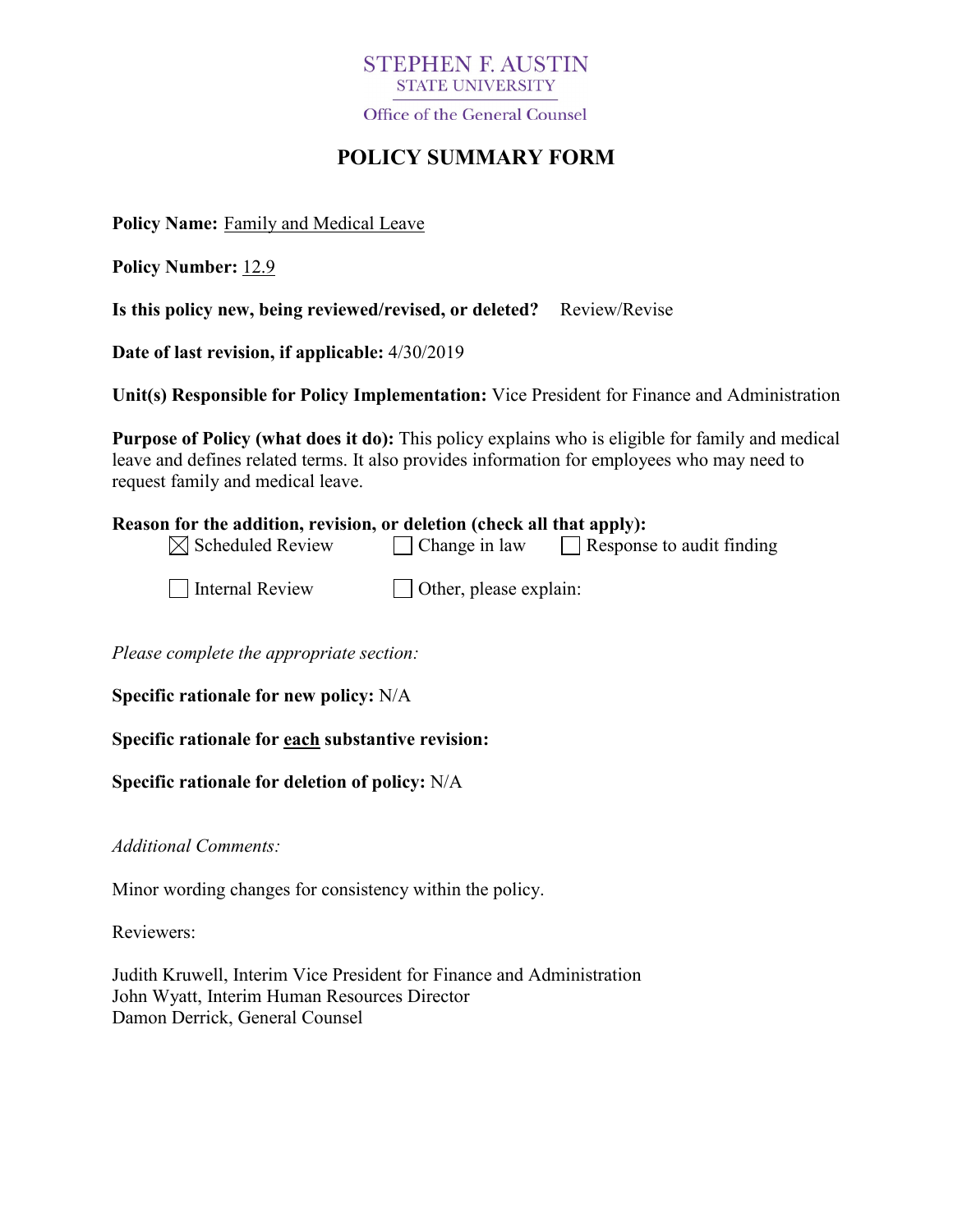## **STEPHEN F. AUSTIN** STATE UNIVERSITY

Office of the General Counsel

# **POLICY SUMMARY FORM**

**Policy Name:** Family and Medical Leave

**Policy Number:** 12.9

**Is this policy new, being reviewed/revised, or deleted?** Review/Revise

**Date of last revision, if applicable:** 4/30/2019

**Unit(s) Responsible for Policy Implementation:** Vice President for Finance and Administration

**Purpose of Policy (what does it do):** This policy explains who is eligible for family and medical leave and defines related terms. It also provides information for employees who may need to request family and medical leave.

| Reason for the addition, revision, or deletion (check all that apply): |                        |                                  |
|------------------------------------------------------------------------|------------------------|----------------------------------|
| $\boxtimes$ Scheduled Review                                           | $\Box$ Change in law   | $\Box$ Response to audit finding |
| Internal Review                                                        | Other, please explain: |                                  |

*Please complete the appropriate section:*

**Specific rationale for new policy:** N/A

**Specific rationale for each substantive revision:**

**Specific rationale for deletion of policy:** N/A

*Additional Comments:*

Minor wording changes for consistency within the policy.

Reviewers:

Judith Kruwell, Interim Vice President for Finance and Administration John Wyatt, Interim Human Resources Director Damon Derrick, General Counsel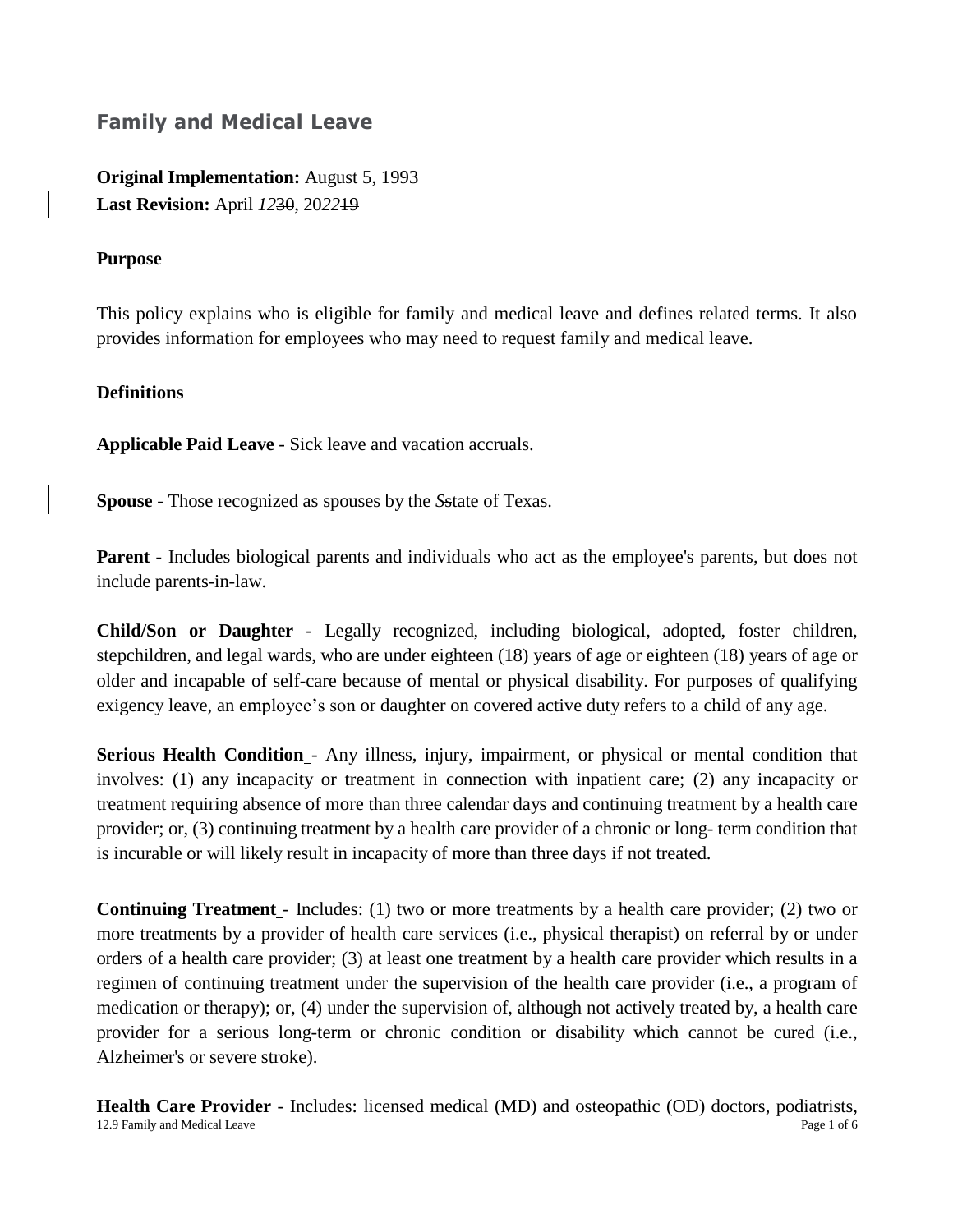# **Family and Medical Leave**

**Original Implementation:** August 5, 1993 **Last Revision:** April *12*30, 20*22*19

#### **Purpose**

This policy explains who is eligible for family and medical leave and defines related terms. It also provides information for employees who may need to request family and medical leave.

#### **Definitions**

**Applicable Paid Leave** - Sick leave and vacation accruals.

**Spouse** - Those recognized as spouses by the *S*state of Texas.

**Parent** - Includes biological parents and individuals who act as the employee's parents, but does not include parents-in-law.

**Child/Son or Daughter** - Legally recognized, including biological, adopted, foster children, stepchildren, and legal wards, who are under eighteen (18) years of age or eighteen (18) years of age or older and incapable of self-care because of mental or physical disability. For purposes of qualifying exigency leave, an employee's son or daughter on covered active duty refers to a child of any age.

**Serious Health Condition** - Any illness, injury, impairment, or physical or mental condition that involves: (1) any incapacity or treatment in connection with inpatient care; (2) any incapacity or treatment requiring absence of more than three calendar days and continuing treatment by a health care provider; or, (3) continuing treatment by a health care provider of a chronic or long- term condition that is incurable or will likely result in incapacity of more than three days if not treated.

**Continuing Treatment** - Includes: (1) two or more treatments by a health care provider; (2) two or more treatments by a provider of health care services (i.e., physical therapist) on referral by or under orders of a health care provider; (3) at least one treatment by a health care provider which results in a regimen of continuing treatment under the supervision of the health care provider (i.e., a program of medication or therapy); or, (4) under the supervision of, although not actively treated by, a health care provider for a serious long-term or chronic condition or disability which cannot be cured (i.e., Alzheimer's or severe stroke).

12.9 Family and Medical Leave Page 1 of 6 **Health Care Provider** - Includes: licensed medical (MD) and osteopathic (OD) doctors, podiatrists,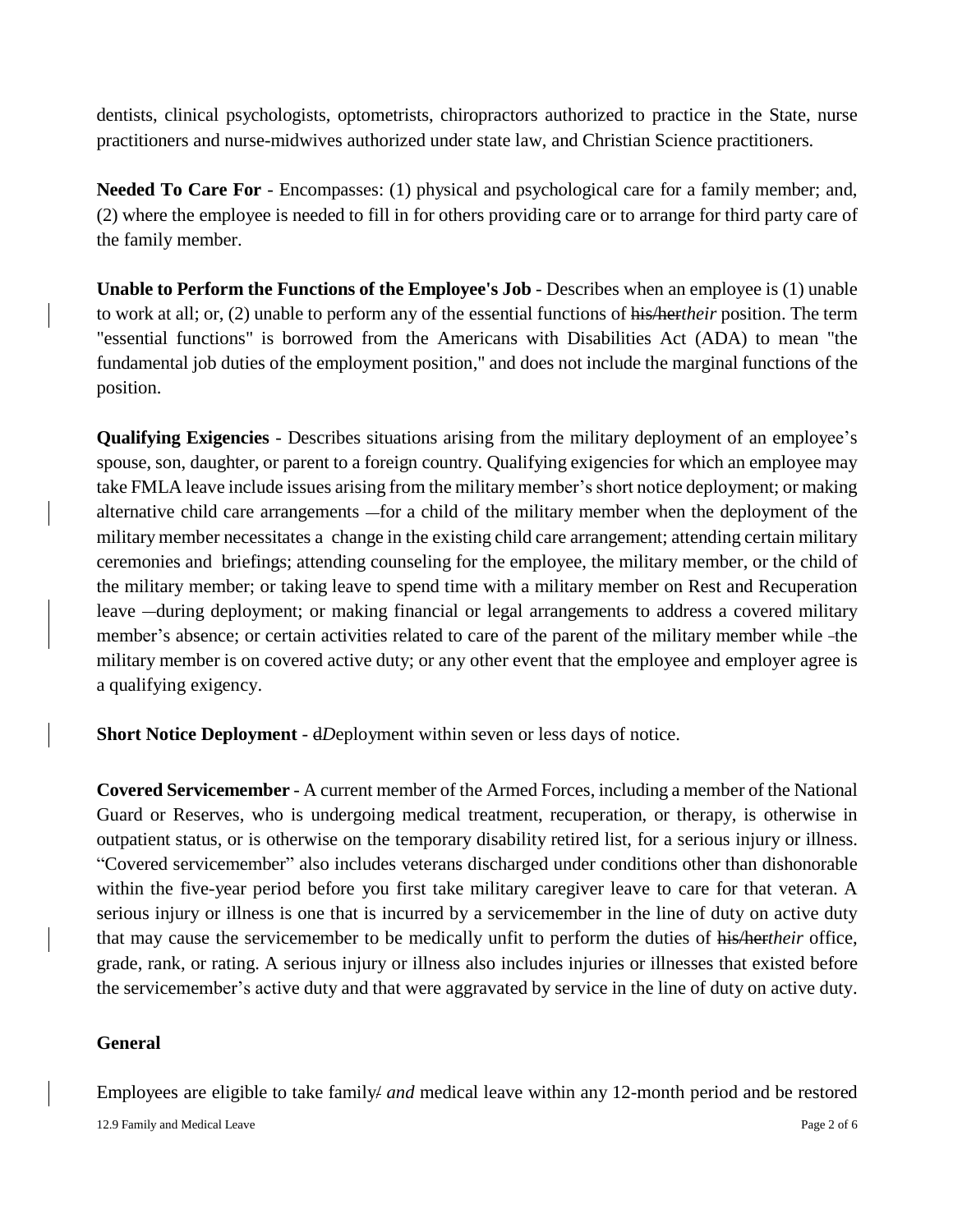dentists, clinical psychologists, optometrists, chiropractors authorized to practice in the State, nurse practitioners and nurse-midwives authorized under state law, and Christian Science practitioners.

**Needed To Care For** - Encompasses: (1) physical and psychological care for a family member; and, (2) where the employee is needed to fill in for others providing care or to arrange for third party care of the family member.

**Unable to Perform the Functions of the Employee's Job** - Describes when an employee is (1) unable to work at all; or, (2) unable to perform any of the essential functions of his/her*their* position. The term "essential functions" is borrowed from the Americans with Disabilities Act (ADA) to mean "the fundamental job duties of the employment position," and does not include the marginal functions of the position.

**Qualifying Exigencies** - Describes situations arising from the military deployment of an employee's spouse, son, daughter, or parent to a foreign country. Qualifying exigencies for which an employee may take FMLA leave include issues arising from the military member's short notice deployment; or making alternative child care arrangements - for a child of the military member when the deployment of the military member necessitates a change in the existing child care arrangement; attending certain military ceremonies and briefings; attending counseling for the employee, the military member, or the child of the military member; or taking leave to spend time with a military member on Rest and Recuperation leave —during deployment; or making financial or legal arrangements to address a covered military member's absence; or certain activities related to care of the parent of the military member while -the military member is on covered active duty; or any other event that the employee and employer agree is a qualifying exigency.

**Short Notice Deployment** - dDeployment within seven or less days of notice.

**Covered Servicemember** - A current member of the Armed Forces, including a member of the National Guard or Reserves, who is undergoing medical treatment, recuperation, or therapy, is otherwise in outpatient status, or is otherwise on the temporary disability retired list, for a serious injury or illness. "Covered servicemember" also includes veterans discharged under conditions other than dishonorable within the five-year period before you first take military caregiver leave to care for that veteran. A serious injury or illness is one that is incurred by a servicemember in the line of duty on active duty that may cause the servicemember to be medically unfit to perform the duties of his/her*their* office, grade, rank, or rating. A serious injury or illness also includes injuries or illnesses that existed before the servicemember's active duty and that were aggravated by service in the line of duty on active duty.

#### **General**

Employees are eligible to take family/ *and* medical leave within any 12-month period and be restored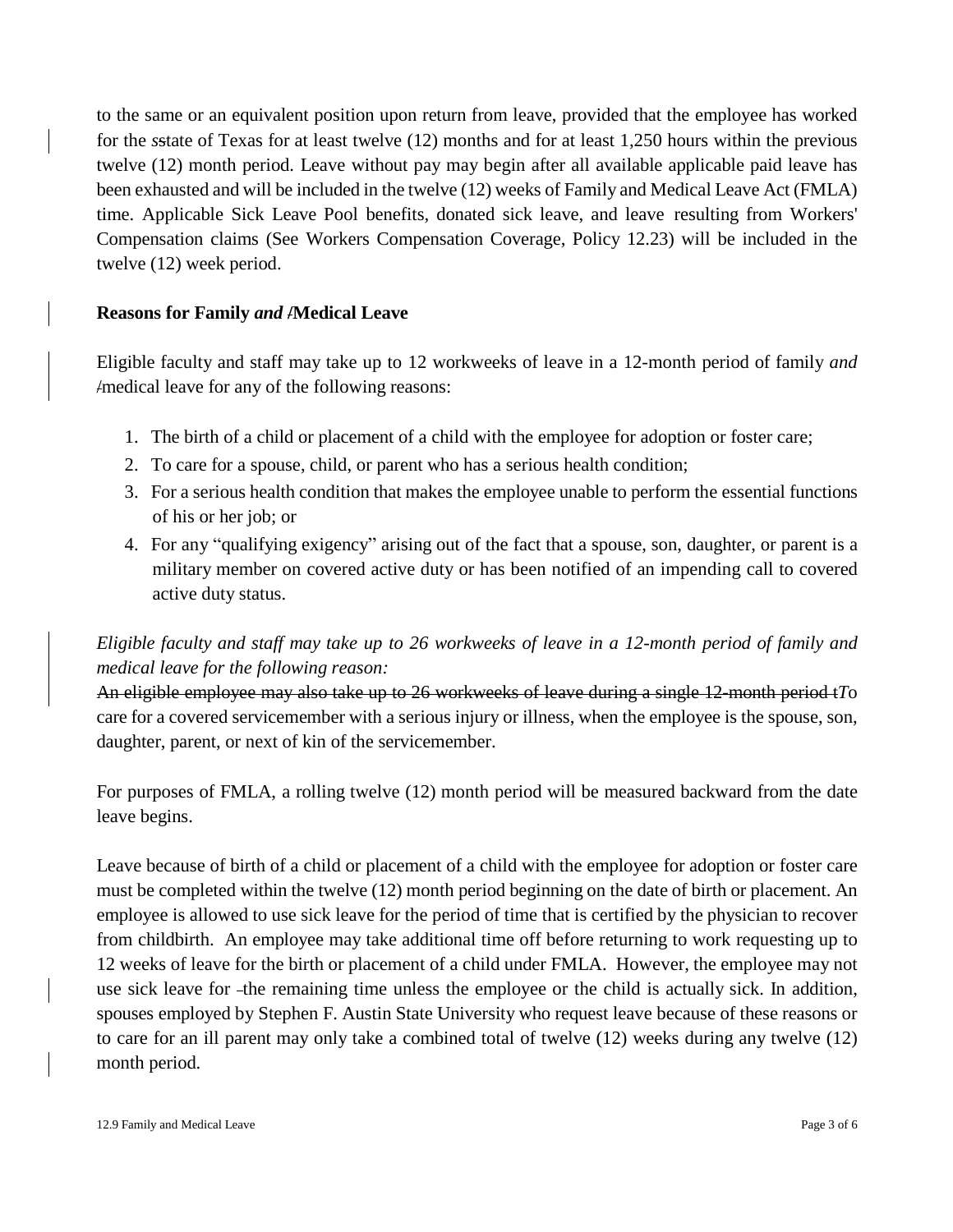to the same or an equivalent position upon return from leave, provided that the employee has worked for the *s*state of Texas for at least twelve (12) months and for at least 1,250 hours within the previous twelve (12) month period. Leave without pay may begin after all available applicable paid leave has been exhausted and will be included in the twelve (12) weeks of Family and Medical Leave Act (FMLA) time. Applicable Sick Leave Pool benefits, donated sick leave, and leave resulting from Workers' Compensation claims (See Workers Compensation Coverage, Policy 12.23) will be included in the twelve (12) week period.

## **Reasons for Family** *and* **/Medical Leave**

Eligible faculty and staff may take up to 12 workweeks of leave in a 12-month period of family *and*  /medical leave for any of the following reasons:

- 1. The birth of a child or placement of a child with the employee for adoption or foster care;
- 2. To care for a spouse, child, or parent who has a serious health condition;
- 3. For a serious health condition that makes the employee unable to perform the essential functions of his or her job; or
- 4. For any "qualifying exigency" arising out of the fact that a spouse, son, daughter, or parent is a military member on covered active duty or has been notified of an impending call to covered active duty status.

# *Eligible faculty and staff may take up to 26 workweeks of leave in a 12-month period of family and medical leave for the following reason:*

An eligible employee may also take up to 26 workweeks of leave during a single 12-month period t*T*o care for a covered servicemember with a serious injury or illness, when the employee is the spouse, son, daughter, parent, or next of kin of the servicemember.

For purposes of FMLA, a rolling twelve (12) month period will be measured backward from the date leave begins.

Leave because of birth of a child or placement of a child with the employee for adoption or foster care must be completed within the twelve (12) month period beginning on the date of birth or placement. An employee is allowed to use sick leave for the period of time that is certified by the physician to recover from childbirth. An employee may take additional time off before returning to work requesting up to 12 weeks of leave for the birth or placement of a child under FMLA. However, the employee may not use sick leave for the remaining time unless the employee or the child is actually sick. In addition, spouses employed by Stephen F. Austin State University who request leave because of these reasons or to care for an ill parent may only take a combined total of twelve (12) weeks during any twelve (12) month period.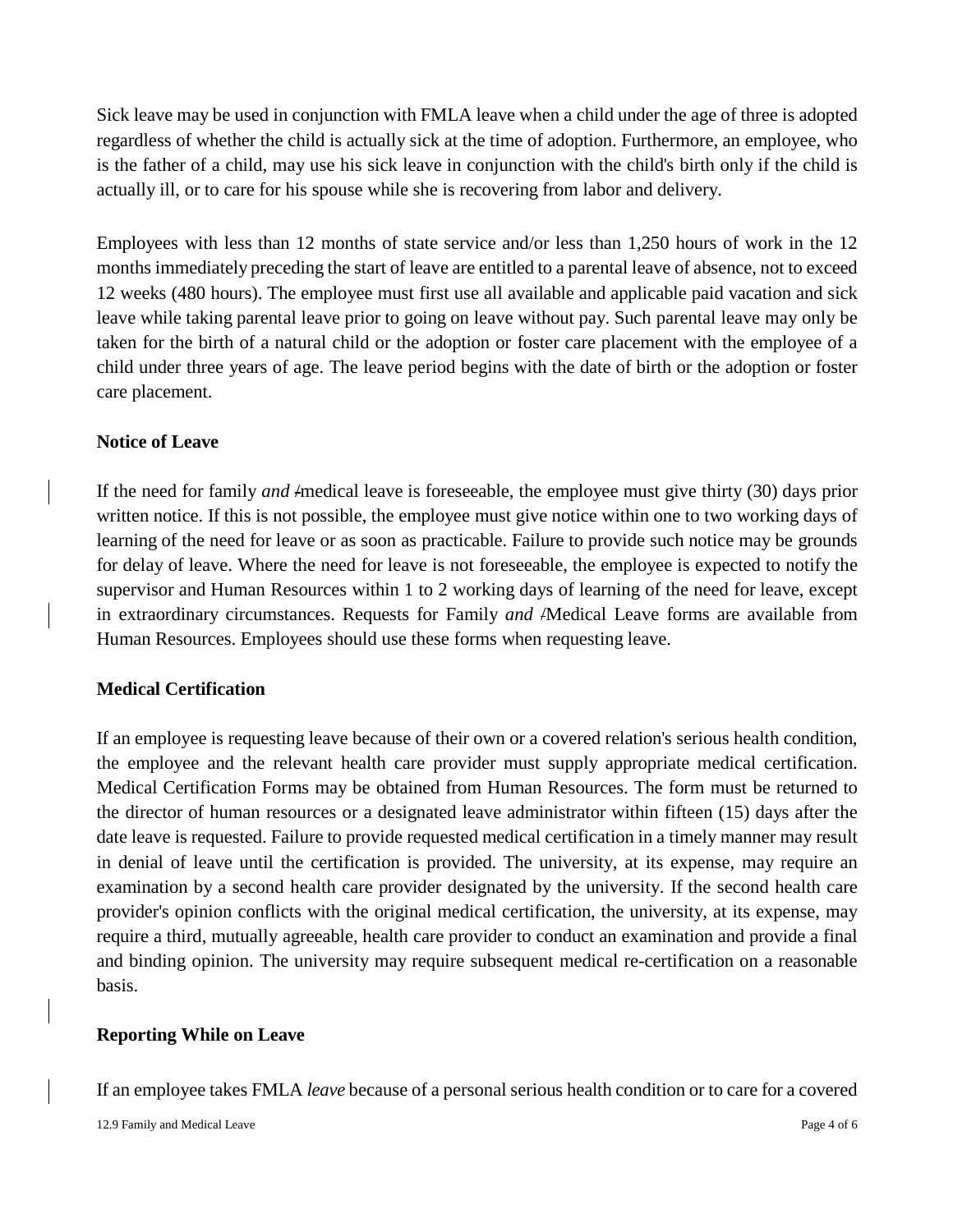Sick leave may be used in conjunction with FMLA leave when a child under the age of three is adopted regardless of whether the child is actually sick at the time of adoption. Furthermore, an employee, who is the father of a child, may use his sick leave in conjunction with the child's birth only if the child is actually ill, or to care for his spouse while she is recovering from labor and delivery.

Employees with less than 12 months of state service and/or less than 1,250 hours of work in the 12 months immediately preceding the start of leave are entitled to a parental leave of absence, not to exceed 12 weeks (480 hours). The employee must first use all available and applicable paid vacation and sick leave while taking parental leave prior to going on leave without pay. Such parental leave may only be taken for the birth of a natural child or the adoption or foster care placement with the employee of a child under three years of age. The leave period begins with the date of birth or the adoption or foster care placement.

#### **Notice of Leave**

If the need for family *and* /medical leave is foreseeable, the employee must give thirty (30) days prior written notice. If this is not possible, the employee must give notice within one to two working days of learning of the need for leave or as soon as practicable. Failure to provide such notice may be grounds for delay of leave. Where the need for leave is not foreseeable, the employee is expected to notify the supervisor and Human Resources within 1 to 2 working days of learning of the need for leave, except in extraordinary circumstances. Requests for Family *and* /Medical Leave forms are available from Human Resources. Employees should use these forms when requesting leave.

#### **Medical Certification**

If an employee is requesting leave because of their own or a covered relation's serious health condition, the employee and the relevant health care provider must supply appropriate medical certification. Medical Certification Forms may be obtained from Human Resources. The form must be returned to the director of human resources or a designated leave administrator within fifteen (15) days after the date leave is requested. Failure to provide requested medical certification in a timely manner may result in denial of leave until the certification is provided. The university, at its expense, may require an examination by a second health care provider designated by the university. If the second health care provider's opinion conflicts with the original medical certification, the university, at its expense, may require a third, mutually agreeable, health care provider to conduct an examination and provide a final and binding opinion. The university may require subsequent medical re-certification on a reasonable basis.

#### **Reporting While on Leave**

If an employee takes FMLA *leave* because of a personal serious health condition or to care for a covered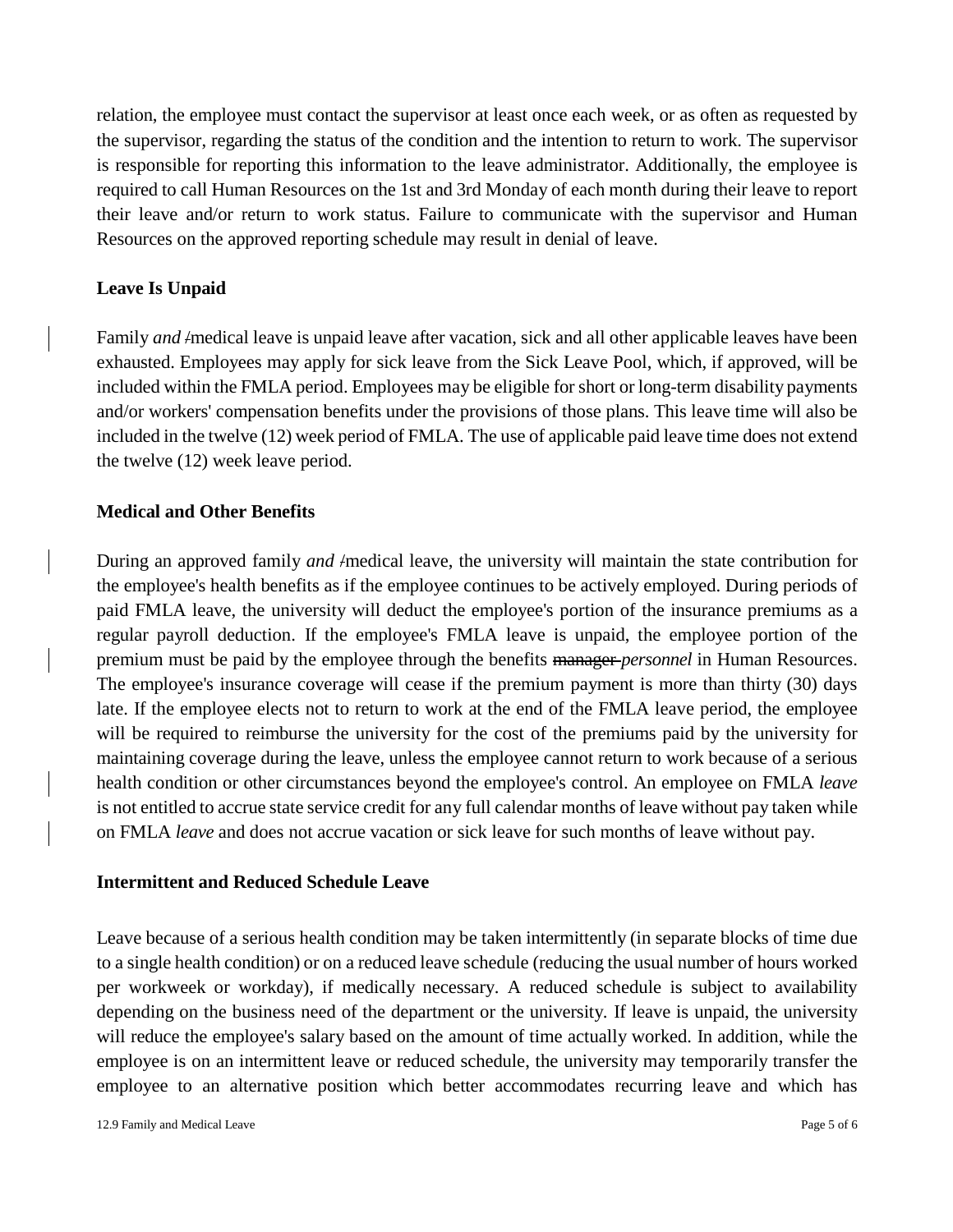relation, the employee must contact the supervisor at least once each week, or as often as requested by the supervisor, regarding the status of the condition and the intention to return to work. The supervisor is responsible for reporting this information to the leave administrator. Additionally, the employee is required to call Human Resources on the 1st and 3rd Monday of each month during their leave to report their leave and/or return to work status. Failure to communicate with the supervisor and Human Resources on the approved reporting schedule may result in denial of leave.

#### **Leave Is Unpaid**

Family *and* /medical leave is unpaid leave after vacation, sick and all other applicable leaves have been exhausted. Employees may apply for sick leave from the Sick Leave Pool, which, if approved, will be included within the FMLA period. Employees may be eligible for short or long-term disability payments and/or workers' compensation benefits under the provisions of those plans. This leave time will also be included in the twelve (12) week period of FMLA. The use of applicable paid leave time does not extend the twelve (12) week leave period.

## **Medical and Other Benefits**

During an approved family *and* /medical leave, the university will maintain the state contribution for the employee's health benefits as if the employee continues to be actively employed. During periods of paid FMLA leave, the university will deduct the employee's portion of the insurance premiums as a regular payroll deduction. If the employee's FMLA leave is unpaid, the employee portion of the premium must be paid by the employee through the benefits manager *personnel* in Human Resources. The employee's insurance coverage will cease if the premium payment is more than thirty (30) days late. If the employee elects not to return to work at the end of the FMLA leave period, the employee will be required to reimburse the university for the cost of the premiums paid by the university for maintaining coverage during the leave, unless the employee cannot return to work because of a serious health condition or other circumstances beyond the employee's control. An employee on FMLA *leave*  is not entitled to accrue state service credit for any full calendar months of leave without pay taken while on FMLA *leave* and does not accrue vacation or sick leave for such months of leave without pay.

#### **Intermittent and Reduced Schedule Leave**

Leave because of a serious health condition may be taken intermittently (in separate blocks of time due to a single health condition) or on a reduced leave schedule (reducing the usual number of hours worked per workweek or workday), if medically necessary. A reduced schedule is subject to availability depending on the business need of the department or the university. If leave is unpaid, the university will reduce the employee's salary based on the amount of time actually worked. In addition, while the employee is on an intermittent leave or reduced schedule, the university may temporarily transfer the employee to an alternative position which better accommodates recurring leave and which has